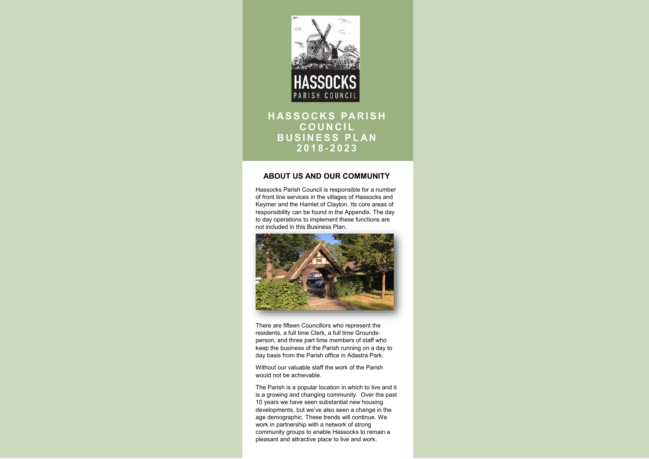# **ABOUT US AND OUR COMMUNITY**

Hassocks Parish Council is responsible for a number of front line services in the villages of Hassocks and Keymer and the Hamlet of Clayton. Its core areas of responsibility can be found in the Appendix. The day to day operations to implement these functions are not included in this Business Plan.



There are fifteen Councillors who represent the residents, a full time Clerk, a full time Groundsperson, and three part time members of staff who keep the business of the Parish running on a day to day basis from the Parish office in Adastra Park.



# **HASSOCKS PARISH C O U N C I L BUSINESS PLAN 2 0 1 8 - 2023**

Without our valuable staff the work of the Parish would not be achievable.

The Parish is a popular location in which to live and it is a growing and changing community. Over the past 10 years we have seen substantial new housing developments, but we've also seen a change in the age demographic. These trends will continue. We work in partnership with a network of strong community groups to enable Hassocks to remain a pleasant and attractive place to live and work.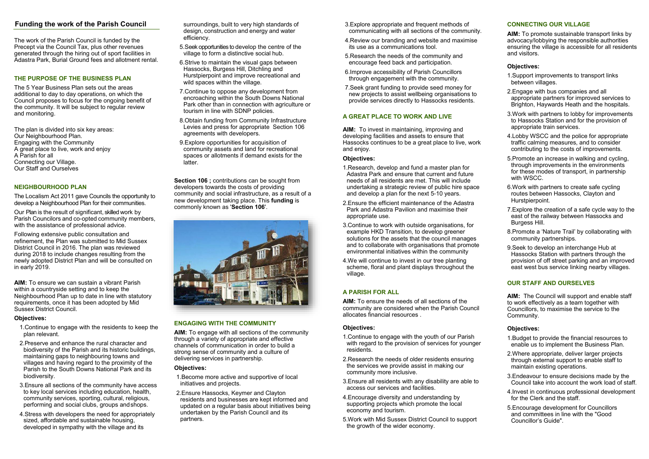# **Funding the work of the Parish Council** surroundings, built to very high standards of

The work of the Parish Council is funded by the Precept via the Council Tax, plus other revenues generated through the hiring out of sport facilities in Adastra Park, Burial Ground fees and allotment rental.

# **THE PURPOSE OF THE BUSINESS PLAN**

The 5 Year Business Plan sets out the areas additional to day to day operations, on which the Council proposes to focus for the ongoing benefit of the community. It will be subject to regular review and monitoring.

Our Plan is the result of significant, skilled work by Parish Councilors and co-opted community members, with the assistance of professional advice.

The plan is divided into six key areas: Our Neighbourhood Plan. Engaging with the Community A great place to live, work and enjoy A Parish for all Connecting our Village. Our Staff and Ourselves

## **NEIGHBOURHOOD PLAN**

The Localism Act 2011 gave Councils the opportunity to develop a Neighbourhood Plan for their communities.

Following extensive public consultation and refinement, the Plan was submitted to Mid Sussex District Council in 2016. The plan was reviewed during 2018 to include changes resulting from the newly adopted District Plan and will be consulted on in early 2019.

**AIM:** To ensure we can sustain a vibrant Parish within a countryside setting and to keep the Neighbourhood Plan up to date in line with statutory requirements, once it has been adopted by Mid Sussex District Council.

#### **Objectives:**

**Section 106 ; contributions can be sought from** developers towards the costs of providing community and social infrastructure, as a result of a new development taking place. This **funding** is commonly known as '**Section 106**'.



- 1.Continue to engage with the residents to keep the plan relevant.
- 2.Preserve and enhance the rural character and biodiversity of the Parish and its historic buildings, maintaining gaps to neighbouring towns and villages and having regard to the proximity of the Parish to the South Downs National Park and its biodiversity.
- 3.Ensure all sections of the community have access to key local services including education, health, community services, sporting, cultural, religious, performing and social clubs, groups andshops.
- 4.Stress with developers the need for appropriately sized, affordable and sustainable housing, developed in sympathy with the village and its

design, construction and energy and water efficiency.

- 5.Seek opportunities to develop the centre of the village to form a distinctive social hub.
- 6.Strive to maintain the visual gaps between Hassocks, Burgess Hill, Ditchling and Hurstpierpoint and improve recreational and wild spaces within the village.
- 7.Continue to oppose any development from encroaching within the South Downs National Park other than in connection with agriculture or tourism in line with SDNP policies.
- 8.Obtain funding from Community Infrastructure Levies and press for appropriate Section 106 agreements with developers.
- 9.Explore opportunities for acquisition of community assets and land for recreational spaces or allotments if demand exists for the latter.

## **ENGAGING WITH THE COMMUNITY**

**AIM:** To engage with all sections of the community through a variety of appropriate and effective channels of communication in order to build a strong sense of community and a culture of delivering services in partnership.

#### **Objectives:**

- 1.Become more active and supportive of local initiatives and projects.
- 2.Ensure Hassocks, Keymer and Clayton residents and businesses are kept informed and updated on a regular basis about initiatives being undertaken by the Parish Council and its partners.
- 3.Explore appropriate and frequent methods of communicating with all sections of the community.
- 4.Review our branding and website and maximise its use as a communications tool.
- 5.Research the needs of the community and encourage feed back and participation.
- 6.Improve accessibility of Parish Councillors through engagement with the community.
- 7.Seek grant funding to provide seed money for new projects to assist wellbeing organisations to provide services directly to Hassocks residents.

#### **A GREAT PLACE TO WORK AND LIVE**

**AIM:** To invest in maintaining, improving and developing facilities and assets to ensure that Hassocks continues to be a great place to live, work and enjoy.

#### **Objectives:**

- 1.Research, develop and fund a master plan for Adastra Park and ensure that current and future needs of all residents are met. This will include undertaking a strategic review of public hire space and develop a plan for the next 5-10 years.
- 2.Ensure the efficient maintenance of the Adastra Park and Adastra Pavilion and maximise their appropriate use.
- 3.Continue to work with outside organisations, for example HKD Transition, to develop greener solutions for the assets that the council manages and to collaborate with organisations that promote environmental initiatives within the community
- 4.We will continue to invest in our tree planting scheme, floral and plant displays throughout the village.

#### **A PARISH FOR ALL**

**AIM:** To ensure the needs of all sections of the community are considered when the Parish Council allocates financial resources .

## **Objectives:**

- 1.Continue to engage with the youth of our Parish with regard to the provision of services for younger residents.
- 2.Research the needs of older residents ensuring the services we provide assist in making our community more inclusive.
- 3.Ensure all residents with any disability are able to access our services and facilities.
- 4.Encourage diversity and understanding by supporting projects which promote the local economy and tourism.
- 5.Work with Mid Sussex District Council to support the growth of the wider economy.

## **CONNECTING OUR VILLAGE**

**AIM:** To promote sustainable transport links by advocacy/lobbying the responsible authorities ensuring the village is accessible for all residents and visitors.

#### **Objectives:**

- 1.Support improvements to transport links between villages.
- 2.Engage with bus companies and all appropriate partners for improved services to Brighton, Haywards Heath and the hospitals.
- 3.Work with partners to lobby for improvements to Hassocks Station and for the provision of appropriate train services.
- 4.Lobby WSCC and the police for appropriate traffic calming measures, and to consider contributing to the costs of improvements.
- 5.Promote an increase in walking and cycling, through improvements in the environments for these modes of transport, in partnership with WSCC.
- 6.Work with partners to create safe cycling routes between Hassocks, Clayton and Hurstpierpoint.
- 7.Explore the creation of a safe cycle way to the east of the railway between Hassocks and Burgess Hill.
- 8.Promote a 'Nature Trail' by collaborating with community partnerships.
- 9.Seek to develop an interchange Hub at Hassocks Station with partners through the provision of off street parking and an improved east west bus service linking nearby villages.

## **OUR STAFF AND OURSELVES**

**AIM:** The Council will support and enable staff to work effectively as a team together with Councillors, to maximise the service to the Community.

#### **Objectives:**

- 1.Budget to provide the financial resources to enable us to implement the Business Plan.
- 2.Where appropriate, deliver larger projects through external support to enable staff to maintain existing operations.
- 3.Endeavour to ensure decisions made by the Council take into account the work load of staff.
- 4.Invest in continuous professional development for the Clerk and the staff.
- 5.Encourage development for Councillors and committees in line with the "Good Councillor's Guide".